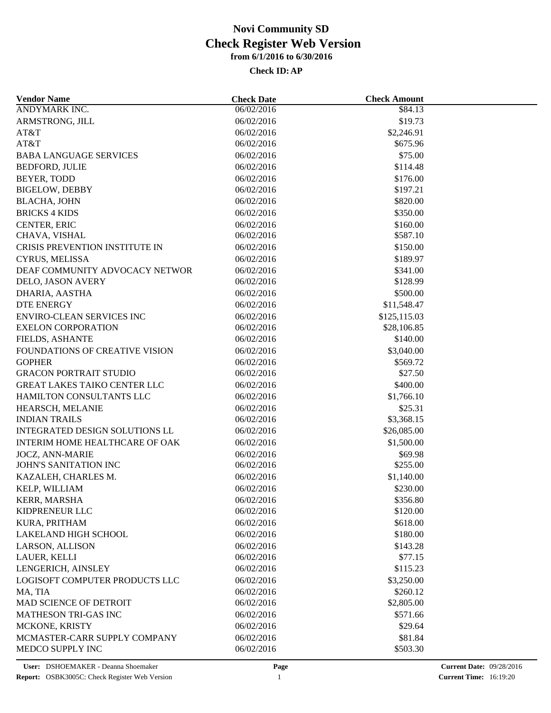| <b>Vendor Name</b>                                     | <b>Check Date</b>        | <b>Check Amount</b> |  |
|--------------------------------------------------------|--------------------------|---------------------|--|
| <b>ANDYMARK INC.</b>                                   | 06/02/2016               | $\sqrt{$84.13}$     |  |
| ARMSTRONG, JILL                                        | 06/02/2016               | \$19.73             |  |
| AT&T                                                   | 06/02/2016               | \$2,246.91          |  |
| AT&T                                                   | 06/02/2016               | \$675.96            |  |
| <b>BABA LANGUAGE SERVICES</b>                          | 06/02/2016               | \$75.00             |  |
| <b>BEDFORD, JULIE</b>                                  | 06/02/2016               | \$114.48            |  |
| BEYER, TODD                                            | 06/02/2016               | \$176.00            |  |
| <b>BIGELOW, DEBBY</b>                                  | 06/02/2016               | \$197.21            |  |
| <b>BLACHA, JOHN</b>                                    | 06/02/2016               | \$820.00            |  |
| <b>BRICKS 4 KIDS</b>                                   | 06/02/2016               | \$350.00            |  |
| CENTER, ERIC                                           | 06/02/2016               | \$160.00            |  |
| CHAVA, VISHAL                                          | 06/02/2016               | \$587.10            |  |
| CRISIS PREVENTION INSTITUTE IN                         | 06/02/2016               | \$150.00            |  |
| CYRUS, MELISSA                                         | 06/02/2016               | \$189.97            |  |
| DEAF COMMUNITY ADVOCACY NETWOR                         | 06/02/2016               | \$341.00            |  |
| DELO, JASON AVERY                                      | 06/02/2016               | \$128.99            |  |
| DHARIA, AASTHA                                         | 06/02/2016               | \$500.00            |  |
| <b>DTE ENERGY</b>                                      | 06/02/2016               | \$11,548.47         |  |
| <b>ENVIRO-CLEAN SERVICES INC</b>                       | 06/02/2016               | \$125,115.03        |  |
| <b>EXELON CORPORATION</b>                              | 06/02/2016               | \$28,106.85         |  |
| FIELDS, ASHANTE                                        | 06/02/2016               | \$140.00            |  |
| <b>FOUNDATIONS OF CREATIVE VISION</b>                  | 06/02/2016               | \$3,040.00          |  |
| <b>GOPHER</b>                                          | 06/02/2016               | \$569.72            |  |
| <b>GRACON PORTRAIT STUDIO</b>                          | 06/02/2016               | \$27.50             |  |
| <b>GREAT LAKES TAIKO CENTER LLC</b>                    | 06/02/2016               | \$400.00            |  |
| HAMILTON CONSULTANTS LLC                               | 06/02/2016               | \$1,766.10          |  |
|                                                        |                          | \$25.31             |  |
| HEARSCH, MELANIE<br><b>INDIAN TRAILS</b>               | 06/02/2016<br>06/02/2016 | \$3,368.15          |  |
| INTEGRATED DESIGN SOLUTIONS LL                         | 06/02/2016               | \$26,085.00         |  |
|                                                        |                          |                     |  |
| INTERIM HOME HEALTHCARE OF OAK                         | 06/02/2016               | \$1,500.00          |  |
| <b>JOCZ, ANN-MARIE</b><br><b>JOHN'S SANITATION INC</b> | 06/02/2016               | \$69.98             |  |
|                                                        | 06/02/2016               | \$255.00            |  |
| KAZALEH, CHARLES M.                                    | 06/02/2016               | \$1,140.00          |  |
| KELP, WILLIAM                                          | 06/02/2016               | \$230.00            |  |
| KERR, MARSHA                                           | 06/02/2016               | \$356.80            |  |
| KIDPRENEUR LLC                                         | 06/02/2016               | \$120.00            |  |
| KURA, PRITHAM                                          | 06/02/2016               | \$618.00            |  |
| <b>LAKELAND HIGH SCHOOL</b>                            | 06/02/2016               | \$180.00            |  |
| LARSON, ALLISON                                        | 06/02/2016               | \$143.28            |  |
| LAUER, KELLI                                           | 06/02/2016               | \$77.15             |  |
| LENGERICH, AINSLEY                                     | 06/02/2016               | \$115.23            |  |
| LOGISOFT COMPUTER PRODUCTS LLC                         | 06/02/2016               | \$3,250.00          |  |
| MA, TIA                                                | 06/02/2016               | \$260.12            |  |
| MAD SCIENCE OF DETROIT                                 | 06/02/2016               | \$2,805.00          |  |
| <b>MATHESON TRI-GAS INC</b>                            | 06/02/2016               | \$571.66            |  |
| MCKONE, KRISTY                                         | 06/02/2016               | \$29.64             |  |
| MCMASTER-CARR SUPPLY COMPANY                           | 06/02/2016               | \$81.84             |  |
| MEDCO SUPPLY INC                                       | 06/02/2016               | \$503.30            |  |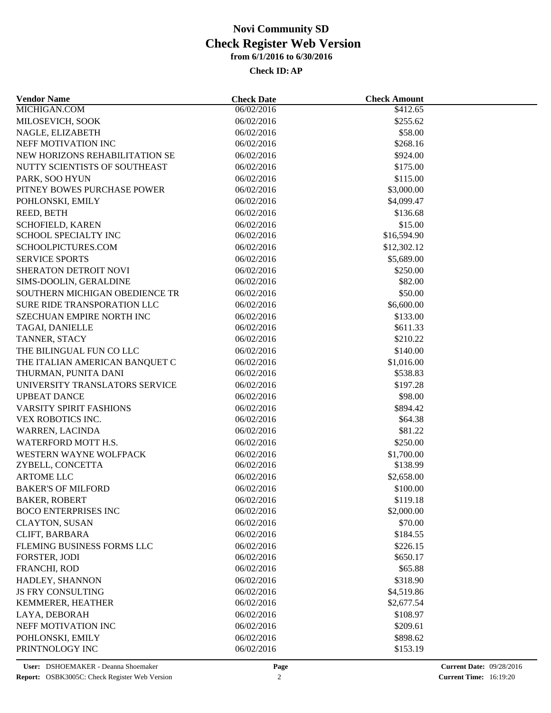| <b>Vendor Name</b>                           | <b>Check Date</b>        | <b>Check Amount</b> |  |
|----------------------------------------------|--------------------------|---------------------|--|
| MICHIGAN.COM                                 | 06/02/2016               | \$412.65            |  |
| MILOSEVICH, SOOK                             | 06/02/2016               | \$255.62            |  |
| NAGLE, ELIZABETH                             | 06/02/2016               | \$58.00             |  |
| NEFF MOTIVATION INC                          | 06/02/2016               | \$268.16            |  |
| NEW HORIZONS REHABILITATION SE               | 06/02/2016               | \$924.00            |  |
| NUTTY SCIENTISTS OF SOUTHEAST                | 06/02/2016               | \$175.00            |  |
| PARK, SOO HYUN                               | 06/02/2016               | \$115.00            |  |
| PITNEY BOWES PURCHASE POWER                  | 06/02/2016               | \$3,000.00          |  |
| POHLONSKI, EMILY                             | 06/02/2016               | \$4,099.47          |  |
| REED, BETH                                   | 06/02/2016               | \$136.68            |  |
| SCHOFIELD, KAREN                             | 06/02/2016               | \$15.00             |  |
| SCHOOL SPECIALTY INC                         | 06/02/2016               | \$16,594.90         |  |
| SCHOOLPICTURES.COM                           | 06/02/2016               | \$12,302.12         |  |
| <b>SERVICE SPORTS</b>                        | 06/02/2016               | \$5,689.00          |  |
| SHERATON DETROIT NOVI                        | 06/02/2016               | \$250.00            |  |
| SIMS-DOOLIN, GERALDINE                       | 06/02/2016               | \$82.00             |  |
| SOUTHERN MICHIGAN OBEDIENCE TR               | 06/02/2016               | \$50.00             |  |
| <b>SURE RIDE TRANSPORATION LLC</b>           | 06/02/2016               | \$6,600.00          |  |
| SZECHUAN EMPIRE NORTH INC                    | 06/02/2016               | \$133.00            |  |
| TAGAI, DANIELLE                              | 06/02/2016               | \$611.33            |  |
| TANNER, STACY                                | 06/02/2016               | \$210.22            |  |
| THE BILINGUAL FUN CO LLC                     | 06/02/2016               | \$140.00            |  |
| THE ITALIAN AMERICAN BANQUET C               | 06/02/2016               | \$1,016.00          |  |
| THURMAN, PUNITA DANI                         | 06/02/2016               | \$538.83            |  |
| UNIVERSITY TRANSLATORS SERVICE               | 06/02/2016               | \$197.28            |  |
| <b>UPBEAT DANCE</b>                          | 06/02/2016               | \$98.00             |  |
|                                              |                          |                     |  |
| VARSITY SPIRIT FASHIONS<br>VEX ROBOTICS INC. | 06/02/2016<br>06/02/2016 | \$894.42<br>\$64.38 |  |
|                                              |                          | \$81.22             |  |
| WARREN, LACINDA                              | 06/02/2016               |                     |  |
| WATERFORD MOTT H.S.                          | 06/02/2016               | \$250.00            |  |
| WESTERN WAYNE WOLFPACK                       | 06/02/2016               | \$1,700.00          |  |
| ZYBELL, CONCETTA                             | 06/02/2016               | \$138.99            |  |
| <b>ARTOME LLC</b>                            | 06/02/2016               | \$2,658.00          |  |
| <b>BAKER'S OF MILFORD</b>                    | 06/02/2016               | \$100.00            |  |
| <b>BAKER, ROBERT</b>                         | 06/02/2016               | \$119.18            |  |
| <b>BOCO ENTERPRISES INC</b>                  | 06/02/2016               | \$2,000.00          |  |
| <b>CLAYTON, SUSAN</b>                        | 06/02/2016               | \$70.00             |  |
| CLIFT, BARBARA                               | 06/02/2016               | \$184.55            |  |
| FLEMING BUSINESS FORMS LLC                   | 06/02/2016               | \$226.15            |  |
| FORSTER, JODI                                | 06/02/2016               | \$650.17            |  |
| FRANCHI, ROD                                 | 06/02/2016               | \$65.88             |  |
| HADLEY, SHANNON                              | 06/02/2016               | \$318.90            |  |
| <b>JS FRY CONSULTING</b>                     | 06/02/2016               | \$4,519.86          |  |
| KEMMERER, HEATHER                            | 06/02/2016               | \$2,677.54          |  |
| LAYA, DEBORAH                                | 06/02/2016               | \$108.97            |  |
| NEFF MOTIVATION INC                          | 06/02/2016               | \$209.61            |  |
| POHLONSKI, EMILY                             | 06/02/2016               | \$898.62            |  |
| PRINTNOLOGY INC                              | 06/02/2016               | \$153.19            |  |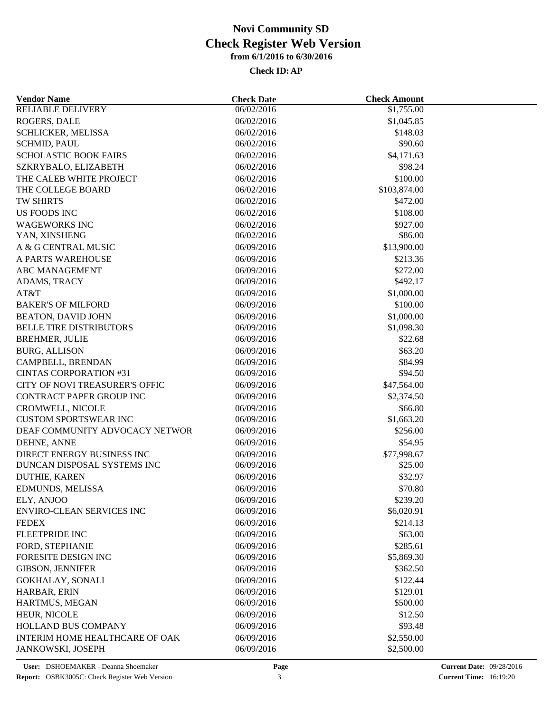| <b>Vendor Name</b>               | <b>Check Date</b> | <b>Check Amount</b> |  |
|----------------------------------|-------------------|---------------------|--|
| <b>RELIABLE DELIVERY</b>         | 06/02/2016        | \$1,755.00          |  |
| ROGERS, DALE                     | 06/02/2016        | \$1,045.85          |  |
| SCHLICKER, MELISSA               | 06/02/2016        | \$148.03            |  |
| <b>SCHMID, PAUL</b>              | 06/02/2016        | \$90.60             |  |
| <b>SCHOLASTIC BOOK FAIRS</b>     | 06/02/2016        | \$4,171.63          |  |
| SZKRYBALO, ELIZABETH             | 06/02/2016        | \$98.24             |  |
| THE CALEB WHITE PROJECT          | 06/02/2016        | \$100.00            |  |
| THE COLLEGE BOARD                | 06/02/2016        | \$103,874.00        |  |
| TW SHIRTS                        | 06/02/2016        | \$472.00            |  |
| US FOODS INC                     | 06/02/2016        | \$108.00            |  |
| <b>WAGEWORKS INC</b>             | 06/02/2016        | \$927.00            |  |
| YAN, XINSHENG                    | 06/02/2016        | \$86.00             |  |
| A & G CENTRAL MUSIC              | 06/09/2016        | \$13,900.00         |  |
| A PARTS WAREHOUSE                | 06/09/2016        | \$213.36            |  |
| <b>ABC MANAGEMENT</b>            | 06/09/2016        | \$272.00            |  |
| ADAMS, TRACY                     | 06/09/2016        | \$492.17            |  |
| AT&T                             | 06/09/2016        | \$1,000.00          |  |
| <b>BAKER'S OF MILFORD</b>        | 06/09/2016        | \$100.00            |  |
| <b>BEATON, DAVID JOHN</b>        | 06/09/2016        | \$1,000.00          |  |
| <b>BELLE TIRE DISTRIBUTORS</b>   | 06/09/2016        | \$1,098.30          |  |
| <b>BREHMER, JULIE</b>            | 06/09/2016        | \$22.68             |  |
| <b>BURG, ALLISON</b>             | 06/09/2016        | \$63.20             |  |
| CAMPBELL, BRENDAN                | 06/09/2016        | \$84.99             |  |
| <b>CINTAS CORPORATION #31</b>    | 06/09/2016        | \$94.50             |  |
| CITY OF NOVI TREASURER'S OFFIC   |                   |                     |  |
|                                  | 06/09/2016        | \$47,564.00         |  |
| CONTRACT PAPER GROUP INC         | 06/09/2016        | \$2,374.50          |  |
| CROMWELL, NICOLE                 | 06/09/2016        | \$66.80             |  |
| <b>CUSTOM SPORTSWEAR INC</b>     | 06/09/2016        | \$1,663.20          |  |
| DEAF COMMUNITY ADVOCACY NETWOR   | 06/09/2016        | \$256.00            |  |
| DEHNE, ANNE                      | 06/09/2016        | \$54.95             |  |
| DIRECT ENERGY BUSINESS INC       | 06/09/2016        | \$77,998.67         |  |
| DUNCAN DISPOSAL SYSTEMS INC      | 06/09/2016        | \$25.00             |  |
| <b>DUTHIE, KAREN</b>             | 06/09/2016        | \$32.97             |  |
| <b>EDMUNDS, MELISSA</b>          | 06/09/2016        | \$70.80             |  |
| ELY, ANJOO                       | 06/09/2016        | \$239.20            |  |
| <b>ENVIRO-CLEAN SERVICES INC</b> | 06/09/2016        | \$6,020.91          |  |
| <b>FEDEX</b>                     | 06/09/2016        | \$214.13            |  |
| <b>FLEETPRIDE INC</b>            | 06/09/2016        | \$63.00             |  |
| FORD, STEPHANIE                  | 06/09/2016        | \$285.61            |  |
| FORESITE DESIGN INC              | 06/09/2016        | \$5,869.30          |  |
| <b>GIBSON, JENNIFER</b>          | 06/09/2016        | \$362.50            |  |
| <b>GOKHALAY, SONALI</b>          | 06/09/2016        | \$122.44            |  |
| HARBAR, ERIN                     | 06/09/2016        | \$129.01            |  |
| HARTMUS, MEGAN                   | 06/09/2016        | \$500.00            |  |
| HEUR, NICOLE                     | 06/09/2016        | \$12.50             |  |
| <b>HOLLAND BUS COMPANY</b>       | 06/09/2016        | \$93.48             |  |
| INTERIM HOME HEALTHCARE OF OAK   | 06/09/2016        | \$2,550.00          |  |
| JANKOWSKI, JOSEPH                | 06/09/2016        | \$2,500.00          |  |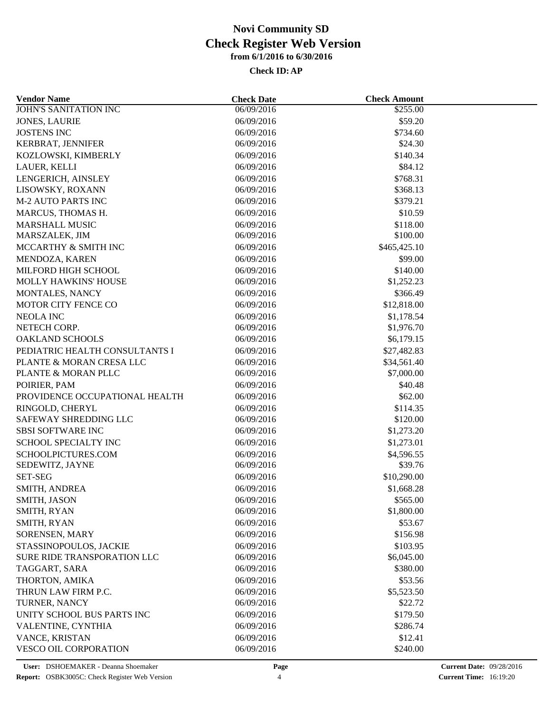| <b>Vendor Name</b>             | <b>Check Date</b> | <b>Check Amount</b> |  |
|--------------------------------|-------------------|---------------------|--|
| <b>JOHN'S SANITATION INC</b>   | 06/09/2016        | \$255.00            |  |
| <b>JONES, LAURIE</b>           | 06/09/2016        | \$59.20             |  |
| <b>JOSTENS INC</b>             | 06/09/2016        | \$734.60            |  |
| KERBRAT, JENNIFER              | 06/09/2016        | \$24.30             |  |
| KOZLOWSKI, KIMBERLY            | 06/09/2016        | \$140.34            |  |
| LAUER, KELLI                   | 06/09/2016        | \$84.12             |  |
| LENGERICH, AINSLEY             | 06/09/2016        | \$768.31            |  |
| LISOWSKY, ROXANN               | 06/09/2016        | \$368.13            |  |
| <b>M-2 AUTO PARTS INC</b>      | 06/09/2016        | \$379.21            |  |
| MARCUS, THOMAS H.              | 06/09/2016        | \$10.59             |  |
| <b>MARSHALL MUSIC</b>          | 06/09/2016        | \$118.00            |  |
| MARSZALEK, JIM                 | 06/09/2016        | \$100.00            |  |
| MCCARTHY & SMITH INC           | 06/09/2016        | \$465,425.10        |  |
| MENDOZA, KAREN                 | 06/09/2016        | \$99.00             |  |
| MILFORD HIGH SCHOOL            | 06/09/2016        | \$140.00            |  |
| MOLLY HAWKINS' HOUSE           | 06/09/2016        | \$1,252.23          |  |
| MONTALES, NANCY                | 06/09/2016        | \$366.49            |  |
| MOTOR CITY FENCE CO            | 06/09/2016        | \$12,818.00         |  |
| <b>NEOLA INC</b>               | 06/09/2016        | \$1,178.54          |  |
| NETECH CORP.                   | 06/09/2016        | \$1,976.70          |  |
| <b>OAKLAND SCHOOLS</b>         | 06/09/2016        | \$6,179.15          |  |
| PEDIATRIC HEALTH CONSULTANTS I | 06/09/2016        | \$27,482.83         |  |
| PLANTE & MORAN CRESA LLC       | 06/09/2016        | \$34,561.40         |  |
| PLANTE & MORAN PLLC            | 06/09/2016        | \$7,000.00          |  |
| POIRIER, PAM                   | 06/09/2016        | \$40.48             |  |
| PROVIDENCE OCCUPATIONAL HEALTH | 06/09/2016        | \$62.00             |  |
| RINGOLD, CHERYL                | 06/09/2016        | \$114.35            |  |
| SAFEWAY SHREDDING LLC          | 06/09/2016        | \$120.00            |  |
| <b>SBSI SOFTWARE INC</b>       | 06/09/2016        | \$1,273.20          |  |
| SCHOOL SPECIALTY INC           | 06/09/2016        | \$1,273.01          |  |
| SCHOOLPICTURES.COM             | 06/09/2016        | \$4,596.55          |  |
| SEDEWITZ, JAYNE                | 06/09/2016        | \$39.76             |  |
| <b>SET-SEG</b>                 | 06/09/2016        | \$10,290.00         |  |
| SMITH, ANDREA                  | 06/09/2016        | \$1,668.28          |  |
| SMITH, JASON                   | 06/09/2016        | \$565.00            |  |
| SMITH, RYAN                    | 06/09/2016        | \$1,800.00          |  |
| SMITH, RYAN                    | 06/09/2016        | \$53.67             |  |
| SORENSEN, MARY                 | 06/09/2016        | \$156.98            |  |
| STASSINOPOULOS, JACKIE         | 06/09/2016        | \$103.95            |  |
| SURE RIDE TRANSPORATION LLC    | 06/09/2016        | \$6,045.00          |  |
| TAGGART, SARA                  | 06/09/2016        | \$380.00            |  |
|                                |                   |                     |  |
| THORTON, AMIKA                 | 06/09/2016        | \$53.56             |  |
| THRUN LAW FIRM P.C.            | 06/09/2016        | \$5,523.50          |  |
| TURNER, NANCY                  | 06/09/2016        | \$22.72             |  |
| UNITY SCHOOL BUS PARTS INC     | 06/09/2016        | \$179.50            |  |
| VALENTINE, CYNTHIA             | 06/09/2016        | \$286.74            |  |
| VANCE, KRISTAN                 | 06/09/2016        | \$12.41             |  |
| VESCO OIL CORPORATION          | 06/09/2016        | \$240.00            |  |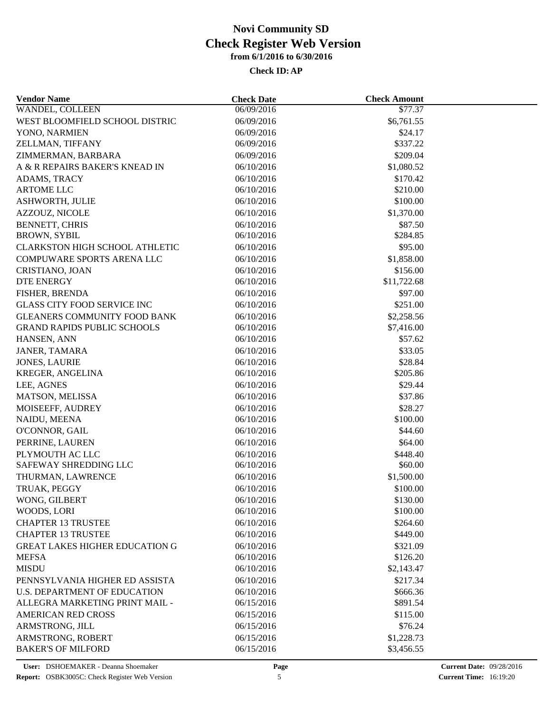| <b>Vendor Name</b>                         | <b>Check Date</b> | <b>Check Amount</b> |  |
|--------------------------------------------|-------------------|---------------------|--|
| WANDEL, COLLEEN                            | 06/09/2016        | \$77.37             |  |
| WEST BLOOMFIELD SCHOOL DISTRIC             | 06/09/2016        | \$6,761.55          |  |
| YONO, NARMIEN                              | 06/09/2016        | \$24.17             |  |
| ZELLMAN, TIFFANY                           | 06/09/2016        | \$337.22            |  |
| ZIMMERMAN, BARBARA                         | 06/09/2016        | \$209.04            |  |
| A & R REPAIRS BAKER'S KNEAD IN             | 06/10/2016        | \$1,080.52          |  |
| ADAMS, TRACY                               | 06/10/2016        | \$170.42            |  |
| <b>ARTOME LLC</b>                          | 06/10/2016        | \$210.00            |  |
| ASHWORTH, JULIE                            | 06/10/2016        | \$100.00            |  |
| AZZOUZ, NICOLE                             | 06/10/2016        | \$1,370.00          |  |
| <b>BENNETT, CHRIS</b>                      | 06/10/2016        | \$87.50             |  |
| <b>BROWN, SYBIL</b>                        | 06/10/2016        | \$284.85            |  |
| <b>CLARKSTON HIGH SCHOOL ATHLETIC</b>      | 06/10/2016        | \$95.00             |  |
| COMPUWARE SPORTS ARENA LLC                 | 06/10/2016        | \$1,858.00          |  |
| CRISTIANO, JOAN                            | 06/10/2016        | \$156.00            |  |
| <b>DTE ENERGY</b>                          | 06/10/2016        | \$11,722.68         |  |
| FISHER, BRENDA                             | 06/10/2016        | \$97.00             |  |
| <b>GLASS CITY FOOD SERVICE INC</b>         | 06/10/2016        | \$251.00            |  |
| <b>GLEANERS COMMUNITY FOOD BANK</b>        | 06/10/2016        | \$2,258.56          |  |
| <b>GRAND RAPIDS PUBLIC SCHOOLS</b>         | 06/10/2016        | \$7,416.00          |  |
| HANSEN, ANN                                | 06/10/2016        | \$57.62             |  |
| JANER, TAMARA                              | 06/10/2016        | \$33.05             |  |
| <b>JONES, LAURIE</b>                       | 06/10/2016        | \$28.84             |  |
| KREGER, ANGELINA                           | 06/10/2016        | \$205.86            |  |
| LEE, AGNES                                 | 06/10/2016        | \$29.44             |  |
| MATSON, MELISSA                            | 06/10/2016        | \$37.86             |  |
| MOISEEFF, AUDREY                           | 06/10/2016        | \$28.27             |  |
| NAIDU, MEENA                               | 06/10/2016        | \$100.00            |  |
| O'CONNOR, GAIL                             | 06/10/2016        | \$44.60             |  |
|                                            | 06/10/2016        |                     |  |
| PERRINE, LAUREN                            |                   | \$64.00             |  |
| PLYMOUTH AC LLC                            | 06/10/2016        | \$448.40<br>\$60.00 |  |
| SAFEWAY SHREDDING LLC<br>THURMAN, LAWRENCE | 06/10/2016        | \$1,500.00          |  |
|                                            | 06/10/2016        |                     |  |
| TRUAK, PEGGY                               | 06/10/2016        | \$100.00            |  |
| WONG, GILBERT                              | 06/10/2016        | \$130.00            |  |
| WOODS, LORI                                | 06/10/2016        | \$100.00            |  |
| <b>CHAPTER 13 TRUSTEE</b>                  | 06/10/2016        | \$264.60            |  |
| <b>CHAPTER 13 TRUSTEE</b>                  | 06/10/2016        | \$449.00            |  |
| <b>GREAT LAKES HIGHER EDUCATION G</b>      | 06/10/2016        | \$321.09            |  |
| <b>MEFSA</b>                               | 06/10/2016        | \$126.20            |  |
| <b>MISDU</b>                               | 06/10/2016        | \$2,143.47          |  |
| PENNSYLVANIA HIGHER ED ASSISTA             | 06/10/2016        | \$217.34            |  |
| <b>U.S. DEPARTMENT OF EDUCATION</b>        | 06/10/2016        | \$666.36            |  |
| ALLEGRA MARKETING PRINT MAIL -             | 06/15/2016        | \$891.54            |  |
| <b>AMERICAN RED CROSS</b>                  | 06/15/2016        | \$115.00            |  |
| ARMSTRONG, JILL                            | 06/15/2016        | \$76.24             |  |
| ARMSTRONG, ROBERT                          | 06/15/2016        | \$1,228.73          |  |
| <b>BAKER'S OF MILFORD</b>                  | 06/15/2016        | \$3,456.55          |  |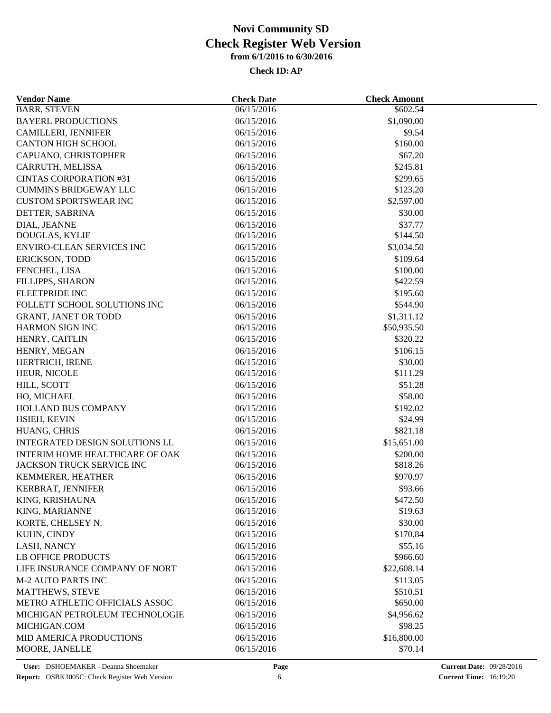| <b>Vendor Name</b>             | <b>Check Date</b>        | <b>Check Amount</b> |  |
|--------------------------------|--------------------------|---------------------|--|
| <b>BARR, STEVEN</b>            | 06/15/2016               | \$602.54            |  |
| <b>BAYERL PRODUCTIONS</b>      | 06/15/2016               | \$1,090.00          |  |
| <b>CAMILLERI, JENNIFER</b>     | 06/15/2016               | \$9.54              |  |
| <b>CANTON HIGH SCHOOL</b>      | 06/15/2016               | \$160.00            |  |
| CAPUANO, CHRISTOPHER           | 06/15/2016               | \$67.20             |  |
| CARRUTH, MELISSA               | 06/15/2016               | \$245.81            |  |
| <b>CINTAS CORPORATION #31</b>  | 06/15/2016               | \$299.65            |  |
| <b>CUMMINS BRIDGEWAY LLC</b>   | 06/15/2016               | \$123.20            |  |
| <b>CUSTOM SPORTSWEAR INC</b>   | 06/15/2016               | \$2,597.00          |  |
| DETTER, SABRINA                | 06/15/2016               | \$30.00             |  |
| DIAL, JEANNE                   | 06/15/2016               | \$37.77             |  |
| DOUGLAS, KYLIE                 | 06/15/2016               | \$144.50            |  |
| ENVIRO-CLEAN SERVICES INC      | 06/15/2016               | \$3,034.50          |  |
| <b>ERICKSON, TODD</b>          | 06/15/2016               | \$109.64            |  |
| FENCHEL, LISA                  | 06/15/2016               | \$100.00            |  |
| FILLIPPS, SHARON               | 06/15/2016               | \$422.59            |  |
| <b>FLEETPRIDE INC</b>          | 06/15/2016               | \$195.60            |  |
| FOLLETT SCHOOL SOLUTIONS INC   | 06/15/2016               | \$544.90            |  |
| <b>GRANT, JANET OR TODD</b>    | 06/15/2016               | \$1,311.12          |  |
| HARMON SIGN INC                | 06/15/2016               | \$50,935.50         |  |
| HENRY, CAITLIN                 | 06/15/2016               | \$320.22            |  |
| HENRY, MEGAN                   | 06/15/2016               | \$106.15            |  |
| HERTRICH, IRENE                | 06/15/2016               | \$30.00             |  |
| HEUR, NICOLE                   | 06/15/2016               | \$111.29            |  |
| HILL, SCOTT                    | 06/15/2016               | \$51.28             |  |
| HO, MICHAEL                    | 06/15/2016               | \$58.00             |  |
| HOLLAND BUS COMPANY            |                          | \$192.02            |  |
|                                | 06/15/2016<br>06/15/2016 | \$24.99             |  |
| HSIEH, KEVIN                   |                          |                     |  |
| HUANG, CHRIS                   | 06/15/2016               | \$821.18            |  |
| INTEGRATED DESIGN SOLUTIONS LL | 06/15/2016               | \$15,651.00         |  |
| INTERIM HOME HEALTHCARE OF OAK | 06/15/2016               | \$200.00            |  |
| JACKSON TRUCK SERVICE INC      | 06/15/2016               | \$818.26            |  |
| KEMMERER, HEATHER              | 06/15/2016               | \$970.97            |  |
| KERBRAT, JENNIFER              | 06/15/2016               | \$93.66             |  |
| KING, KRISHAUNA                | 06/15/2016               | \$472.50            |  |
| KING, MARIANNE                 | 06/15/2016               | \$19.63             |  |
| KORTE, CHELSEY N.              | 06/15/2016               | \$30.00             |  |
| KUHN, CINDY                    | 06/15/2016               | \$170.84            |  |
| LASH, NANCY                    | 06/15/2016               | \$55.16             |  |
| <b>LB OFFICE PRODUCTS</b>      | 06/15/2016               | \$966.60            |  |
| LIFE INSURANCE COMPANY OF NORT | 06/15/2016               | \$22,608.14         |  |
| <b>M-2 AUTO PARTS INC</b>      | 06/15/2016               | \$113.05            |  |
| <b>MATTHEWS, STEVE</b>         | 06/15/2016               | \$510.51            |  |
| METRO ATHLETIC OFFICIALS ASSOC | 06/15/2016               | \$650.00            |  |
| MICHIGAN PETROLEUM TECHNOLOGIE | 06/15/2016               | \$4,956.62          |  |
| MICHIGAN.COM                   | 06/15/2016               | \$98.25             |  |
| MID AMERICA PRODUCTIONS        | 06/15/2016               | \$16,800.00         |  |
| MOORE, JANELLE                 | 06/15/2016               | \$70.14             |  |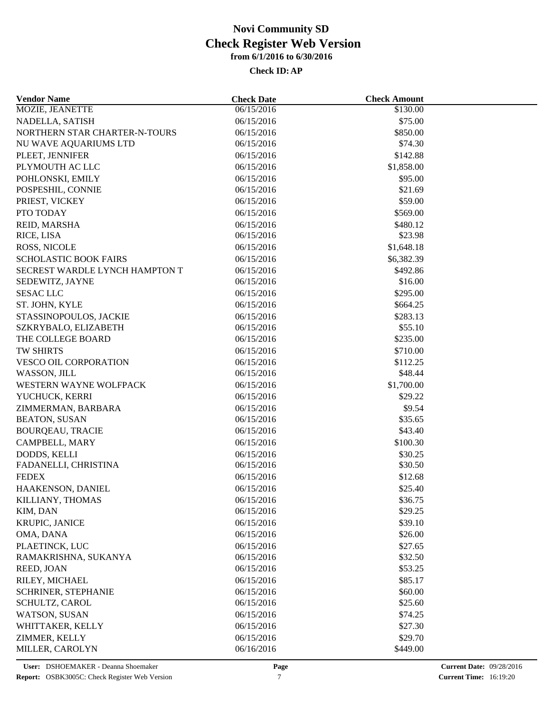| <b>Vendor Name</b>                 | <b>Check Date</b>        | <b>Check Amount</b> |  |
|------------------------------------|--------------------------|---------------------|--|
| MOZIE, JEANETTE                    | 06/15/2016               | \$130.00            |  |
| NADELLA, SATISH                    | 06/15/2016               | \$75.00             |  |
| NORTHERN STAR CHARTER-N-TOURS      | 06/15/2016               | \$850.00            |  |
| NU WAVE AQUARIUMS LTD              | 06/15/2016               | \$74.30             |  |
| PLEET, JENNIFER                    | 06/15/2016               | \$142.88            |  |
| PLYMOUTH AC LLC                    | 06/15/2016               | \$1,858.00          |  |
| POHLONSKI, EMILY                   | 06/15/2016               | \$95.00             |  |
| POSPESHIL, CONNIE                  | 06/15/2016               | \$21.69             |  |
| PRIEST, VICKEY                     | 06/15/2016               | \$59.00             |  |
| PTO TODAY                          | 06/15/2016               | \$569.00            |  |
| REID, MARSHA                       | 06/15/2016               | \$480.12            |  |
| RICE, LISA                         | 06/15/2016               | \$23.98             |  |
| ROSS, NICOLE                       | 06/15/2016               | \$1,648.18          |  |
| <b>SCHOLASTIC BOOK FAIRS</b>       | 06/15/2016               | \$6,382.39          |  |
| SECREST WARDLE LYNCH HAMPTON T     | 06/15/2016               | \$492.86            |  |
| SEDEWITZ, JAYNE                    | 06/15/2016               | \$16.00             |  |
| <b>SESAC LLC</b>                   | 06/15/2016               | \$295.00            |  |
| ST. JOHN, KYLE                     | 06/15/2016               | \$664.25            |  |
| STASSINOPOULOS, JACKIE             | 06/15/2016               | \$283.13            |  |
| SZKRYBALO, ELIZABETH               | 06/15/2016               | \$55.10             |  |
| THE COLLEGE BOARD                  | 06/15/2016               | \$235.00            |  |
| TW SHIRTS                          | 06/15/2016               | \$710.00            |  |
| <b>VESCO OIL CORPORATION</b>       | 06/15/2016               | \$112.25            |  |
| WASSON, JILL                       | 06/15/2016               | \$48.44             |  |
| WESTERN WAYNE WOLFPACK             | 06/15/2016               | \$1,700.00          |  |
| YUCHUCK, KERRI                     | 06/15/2016               | \$29.22             |  |
| ZIMMERMAN, BARBARA                 | 06/15/2016               | \$9.54              |  |
| <b>BEATON, SUSAN</b>               | 06/15/2016               | \$35.65             |  |
| <b>BOURQEAU, TRACIE</b>            | 06/15/2016               | \$43.40             |  |
| CAMPBELL, MARY                     | 06/15/2016               | \$100.30            |  |
| DODDS, KELLI                       | 06/15/2016               | \$30.25             |  |
| FADANELLI, CHRISTINA               | 06/15/2016               | \$30.50             |  |
| <b>FEDEX</b>                       | 06/15/2016               | \$12.68             |  |
| HAAKENSON, DANIEL                  | 06/15/2016               | \$25.40             |  |
| KILLIANY, THOMAS                   | 06/15/2016               | \$36.75             |  |
| KIM, DAN                           | 06/15/2016               | \$29.25             |  |
| KRUPIC, JANICE                     | 06/15/2016               | \$39.10             |  |
| OMA, DANA                          | 06/15/2016               | \$26.00             |  |
|                                    |                          |                     |  |
| PLAETINCK, LUC                     | 06/15/2016<br>06/15/2016 | \$27.65             |  |
| RAMAKRISHNA, SUKANYA<br>REED, JOAN | 06/15/2016               | \$32.50             |  |
|                                    |                          | \$53.25             |  |
| RILEY, MICHAEL                     | 06/15/2016               | \$85.17             |  |
| SCHRINER, STEPHANIE                | 06/15/2016               | \$60.00             |  |
| SCHULTZ, CAROL                     | 06/15/2016               | \$25.60             |  |
| <b>WATSON, SUSAN</b>               | 06/15/2016               | \$74.25             |  |
| WHITTAKER, KELLY                   | 06/15/2016               | \$27.30             |  |
| ZIMMER, KELLY                      | 06/15/2016               | \$29.70             |  |
| MILLER, CAROLYN                    | 06/16/2016               | \$449.00            |  |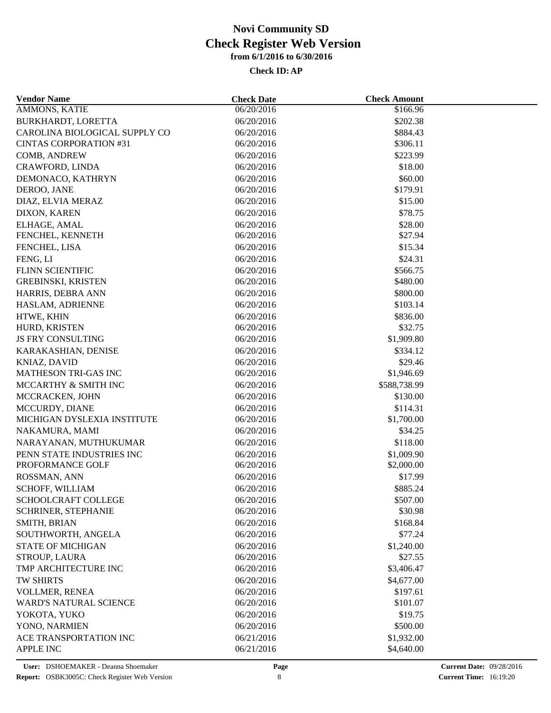| <b>Vendor Name</b>            | <b>Check Date</b>        | <b>Check Amount</b> |  |
|-------------------------------|--------------------------|---------------------|--|
| <b>AMMONS, KATIE</b>          | 06/20/2016               | \$166.96            |  |
| BURKHARDT, LORETTA            | 06/20/2016               | \$202.38            |  |
| CAROLINA BIOLOGICAL SUPPLY CO | 06/20/2016               | \$884.43            |  |
| <b>CINTAS CORPORATION #31</b> | 06/20/2016               | \$306.11            |  |
| COMB, ANDREW                  | 06/20/2016               | \$223.99            |  |
| CRAWFORD, LINDA               | 06/20/2016               | \$18.00             |  |
| DEMONACO, KATHRYN             | 06/20/2016               | \$60.00             |  |
| DEROO, JANE                   | 06/20/2016               | \$179.91            |  |
| DIAZ, ELVIA MERAZ             | 06/20/2016               | \$15.00             |  |
| DIXON, KAREN                  | 06/20/2016               | \$78.75             |  |
| ELHAGE, AMAL                  | 06/20/2016               | \$28.00             |  |
| FENCHEL, KENNETH              | 06/20/2016               | \$27.94             |  |
| FENCHEL, LISA                 | 06/20/2016               | \$15.34             |  |
| FENG, LI                      | 06/20/2016               | \$24.31             |  |
| FLINN SCIENTIFIC              | 06/20/2016               | \$566.75            |  |
| <b>GREBINSKI, KRISTEN</b>     | 06/20/2016               | \$480.00            |  |
| HARRIS, DEBRA ANN             | 06/20/2016               | \$800.00            |  |
| HASLAM, ADRIENNE              | 06/20/2016               | \$103.14            |  |
| HTWE, KHIN                    | 06/20/2016               | \$836.00            |  |
| HURD, KRISTEN                 | 06/20/2016               | \$32.75             |  |
| JS FRY CONSULTING             | 06/20/2016               | \$1,909.80          |  |
| KARAKASHIAN, DENISE           | 06/20/2016               | \$334.12            |  |
| KNIAZ, DAVID                  | 06/20/2016               | \$29.46             |  |
| MATHESON TRI-GAS INC          | 06/20/2016               | \$1,946.69          |  |
| MCCARTHY & SMITH INC          | 06/20/2016               | \$588,738.99        |  |
| MCCRACKEN, JOHN               | 06/20/2016               | \$130.00            |  |
| MCCURDY, DIANE                | 06/20/2016               | \$114.31            |  |
| MICHIGAN DYSLEXIA INSTITUTE   | 06/20/2016               | \$1,700.00          |  |
| NAKAMURA, MAMI                | 06/20/2016               | \$34.25             |  |
| NARAYANAN, MUTHUKUMAR         | 06/20/2016               | \$118.00            |  |
| PENN STATE INDUSTRIES INC     | 06/20/2016               | \$1,009.90          |  |
| PROFORMANCE GOLF              | 06/20/2016               | \$2,000.00          |  |
| ROSSMAN, ANN                  | 06/20/2016               | \$17.99             |  |
| SCHOFF, WILLIAM               | 06/20/2016               | \$885.24            |  |
| SCHOOLCRAFT COLLEGE           |                          |                     |  |
| SCHRINER, STEPHANIE           | 06/20/2016<br>06/20/2016 | \$507.00<br>\$30.98 |  |
| SMITH, BRIAN                  |                          | \$168.84            |  |
|                               | 06/20/2016               | \$77.24             |  |
| SOUTHWORTH, ANGELA            | 06/20/2016               |                     |  |
| <b>STATE OF MICHIGAN</b>      | 06/20/2016               | \$1,240.00          |  |
| STROUP, LAURA                 | 06/20/2016               | \$27.55             |  |
| TMP ARCHITECTURE INC          | 06/20/2016               | \$3,406.47          |  |
| TW SHIRTS                     | 06/20/2016               | \$4,677.00          |  |
| VOLLMER, RENEA                | 06/20/2016               | \$197.61            |  |
| <b>WARD'S NATURAL SCIENCE</b> | 06/20/2016               | \$101.07            |  |
| YOKOTA, YUKO                  | 06/20/2016               | \$19.75             |  |
| YONO, NARMIEN                 | 06/20/2016               | \$500.00            |  |
| ACE TRANSPORTATION INC        | 06/21/2016               | \$1,932.00          |  |
| <b>APPLE INC</b>              | 06/21/2016               | \$4,640.00          |  |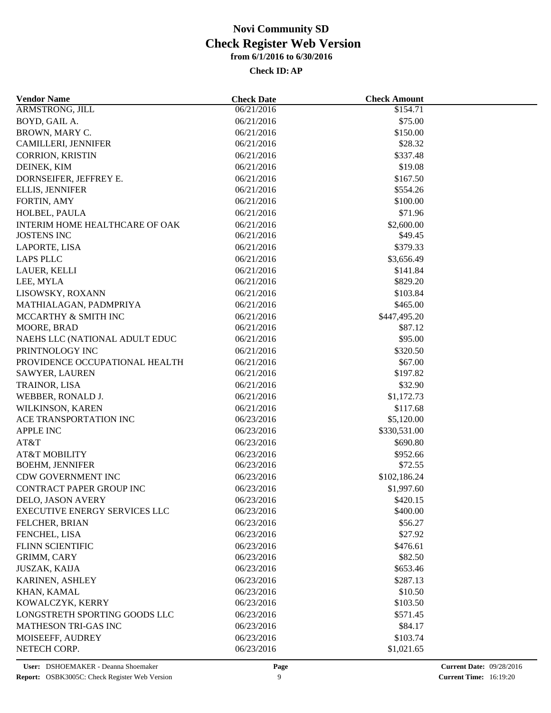| <b>Vendor Name</b>                   | <b>Check Date</b> | <b>Check Amount</b> |  |
|--------------------------------------|-------------------|---------------------|--|
| <b>ARMSTRONG, JILL</b>               | 06/21/2016        | $\sqrt{$154.71}$    |  |
| BOYD, GAIL A.                        | 06/21/2016        | \$75.00             |  |
| BROWN, MARY C.                       | 06/21/2016        | \$150.00            |  |
| CAMILLERI, JENNIFER                  | 06/21/2016        | \$28.32             |  |
| CORRION, KRISTIN                     | 06/21/2016        | \$337.48            |  |
| DEINEK, KIM                          | 06/21/2016        | \$19.08             |  |
| DORNSEIFER, JEFFREY E.               | 06/21/2016        | \$167.50            |  |
| ELLIS, JENNIFER                      | 06/21/2016        | \$554.26            |  |
| FORTIN, AMY                          | 06/21/2016        | \$100.00            |  |
| HOLBEL, PAULA                        | 06/21/2016        | \$71.96             |  |
| INTERIM HOME HEALTHCARE OF OAK       | 06/21/2016        | \$2,600.00          |  |
| <b>JOSTENS INC</b>                   | 06/21/2016        | \$49.45             |  |
| LAPORTE, LISA                        | 06/21/2016        | \$379.33            |  |
| <b>LAPS PLLC</b>                     | 06/21/2016        | \$3,656.49          |  |
| LAUER, KELLI                         | 06/21/2016        | \$141.84            |  |
| LEE, MYLA                            | 06/21/2016        | \$829.20            |  |
| LISOWSKY, ROXANN                     | 06/21/2016        | \$103.84            |  |
| MATHIALAGAN, PADMPRIYA               | 06/21/2016        | \$465.00            |  |
| MCCARTHY & SMITH INC                 | 06/21/2016        | \$447,495.20        |  |
| MOORE, BRAD                          | 06/21/2016        | \$87.12             |  |
| NAEHS LLC (NATIONAL ADULT EDUC       | 06/21/2016        | \$95.00             |  |
| PRINTNOLOGY INC                      | 06/21/2016        | \$320.50            |  |
| PROVIDENCE OCCUPATIONAL HEALTH       | 06/21/2016        | \$67.00             |  |
| SAWYER, LAUREN                       | 06/21/2016        | \$197.82            |  |
| TRAINOR, LISA                        | 06/21/2016        | \$32.90             |  |
|                                      |                   |                     |  |
| WEBBER, RONALD J.                    | 06/21/2016        | \$1,172.73          |  |
| WILKINSON, KAREN                     | 06/21/2016        | \$117.68            |  |
| ACE TRANSPORTATION INC               | 06/23/2016        | \$5,120.00          |  |
| <b>APPLE INC</b>                     | 06/23/2016        | \$330,531.00        |  |
| AT&T                                 | 06/23/2016        | \$690.80            |  |
| <b>AT&amp;T MOBILITY</b>             | 06/23/2016        | \$952.66            |  |
| <b>BOEHM, JENNIFER</b>               | 06/23/2016        | \$72.55             |  |
| CDW GOVERNMENT INC                   | 06/23/2016        | \$102,186.24        |  |
| <b>CONTRACT PAPER GROUP INC</b>      | 06/23/2016        | \$1,997.60          |  |
| DELO, JASON AVERY                    | 06/23/2016        | \$420.15            |  |
| <b>EXECUTIVE ENERGY SERVICES LLC</b> | 06/23/2016        | \$400.00            |  |
| FELCHER, BRIAN                       | 06/23/2016        | \$56.27             |  |
| FENCHEL, LISA                        | 06/23/2016        | \$27.92             |  |
| <b>FLINN SCIENTIFIC</b>              | 06/23/2016        | \$476.61            |  |
| GRIMM, CARY                          | 06/23/2016        | \$82.50             |  |
| <b>JUSZAK, KAIJA</b>                 | 06/23/2016        | \$653.46            |  |
| KARINEN, ASHLEY                      | 06/23/2016        | \$287.13            |  |
| KHAN, KAMAL                          | 06/23/2016        | \$10.50             |  |
| KOWALCZYK, KERRY                     | 06/23/2016        | \$103.50            |  |
| LONGSTRETH SPORTING GOODS LLC        | 06/23/2016        | \$571.45            |  |
| MATHESON TRI-GAS INC                 | 06/23/2016        | \$84.17             |  |
| MOISEEFF, AUDREY                     | 06/23/2016        | \$103.74            |  |
| NETECH CORP.                         | 06/23/2016        | \$1,021.65          |  |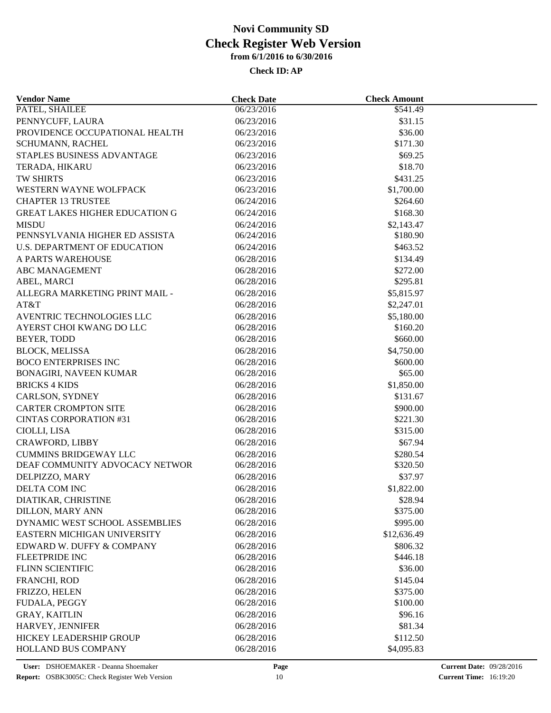| <b>Vendor Name</b>                    | <b>Check Date</b> | <b>Check Amount</b> |  |
|---------------------------------------|-------------------|---------------------|--|
| PATEL, SHAILEE                        | 06/23/2016        | \$541.49            |  |
| PENNYCUFF, LAURA                      | 06/23/2016        | \$31.15             |  |
| PROVIDENCE OCCUPATIONAL HEALTH        | 06/23/2016        | \$36.00             |  |
| SCHUMANN, RACHEL                      | 06/23/2016        | \$171.30            |  |
| STAPLES BUSINESS ADVANTAGE            | 06/23/2016        | \$69.25             |  |
| TERADA, HIKARU                        | 06/23/2016        | \$18.70             |  |
| TW SHIRTS                             | 06/23/2016        | \$431.25            |  |
| WESTERN WAYNE WOLFPACK                | 06/23/2016        | \$1,700.00          |  |
| <b>CHAPTER 13 TRUSTEE</b>             | 06/24/2016        | \$264.60            |  |
| <b>GREAT LAKES HIGHER EDUCATION G</b> | 06/24/2016        | \$168.30            |  |
| <b>MISDU</b>                          | 06/24/2016        | \$2,143.47          |  |
| PENNSYLVANIA HIGHER ED ASSISTA        | 06/24/2016        | \$180.90            |  |
| U.S. DEPARTMENT OF EDUCATION          | 06/24/2016        | \$463.52            |  |
| A PARTS WAREHOUSE                     | 06/28/2016        | \$134.49            |  |
| <b>ABC MANAGEMENT</b>                 | 06/28/2016        | \$272.00            |  |
| ABEL, MARCI                           | 06/28/2016        | \$295.81            |  |
| ALLEGRA MARKETING PRINT MAIL -        | 06/28/2016        | \$5,815.97          |  |
| AT&T                                  | 06/28/2016        | \$2,247.01          |  |
| AVENTRIC TECHNOLOGIES LLC             | 06/28/2016        | \$5,180.00          |  |
| AYERST CHOI KWANG DO LLC              | 06/28/2016        | \$160.20            |  |
| BEYER, TODD                           | 06/28/2016        | \$660.00            |  |
| <b>BLOCK, MELISSA</b>                 | 06/28/2016        | \$4,750.00          |  |
| <b>BOCO ENTERPRISES INC</b>           | 06/28/2016        | \$600.00            |  |
| BONAGIRI, NAVEEN KUMAR                | 06/28/2016        | \$65.00             |  |
|                                       |                   | \$1,850.00          |  |
| <b>BRICKS 4 KIDS</b>                  | 06/28/2016        |                     |  |
| CARLSON, SYDNEY                       | 06/28/2016        | \$131.67            |  |
| <b>CARTER CROMPTON SITE</b>           | 06/28/2016        | \$900.00            |  |
| <b>CINTAS CORPORATION #31</b>         | 06/28/2016        | \$221.30            |  |
| CIOLLI, LISA                          | 06/28/2016        | \$315.00            |  |
| CRAWFORD, LIBBY                       | 06/28/2016        | \$67.94             |  |
| <b>CUMMINS BRIDGEWAY LLC</b>          | 06/28/2016        | \$280.54            |  |
| DEAF COMMUNITY ADVOCACY NETWOR        | 06/28/2016        | \$320.50            |  |
| DELPIZZO, MARY                        | 06/28/2016        | \$37.97             |  |
| DELTA COM INC                         | 06/28/2016        | \$1,822.00          |  |
| DIATIKAR, CHRISTINE                   | 06/28/2016        | \$28.94             |  |
| <b>DILLON, MARY ANN</b>               | 06/28/2016        | \$375.00            |  |
| DYNAMIC WEST SCHOOL ASSEMBLIES        | 06/28/2016        | \$995.00            |  |
| EASTERN MICHIGAN UNIVERSITY           | 06/28/2016        | \$12,636.49         |  |
| EDWARD W. DUFFY & COMPANY             | 06/28/2016        | \$806.32            |  |
| <b>FLEETPRIDE INC</b>                 | 06/28/2016        | \$446.18            |  |
| FLINN SCIENTIFIC                      | 06/28/2016        | \$36.00             |  |
| FRANCHI, ROD                          | 06/28/2016        | \$145.04            |  |
| FRIZZO, HELEN                         | 06/28/2016        | \$375.00            |  |
| FUDALA, PEGGY                         | 06/28/2016        | \$100.00            |  |
| <b>GRAY, KAITLIN</b>                  | 06/28/2016        | \$96.16             |  |
| HARVEY, JENNIFER                      | 06/28/2016        | \$81.34             |  |
| <b>HICKEY LEADERSHIP GROUP</b>        | 06/28/2016        | \$112.50            |  |
| HOLLAND BUS COMPANY                   | 06/28/2016        | \$4,095.83          |  |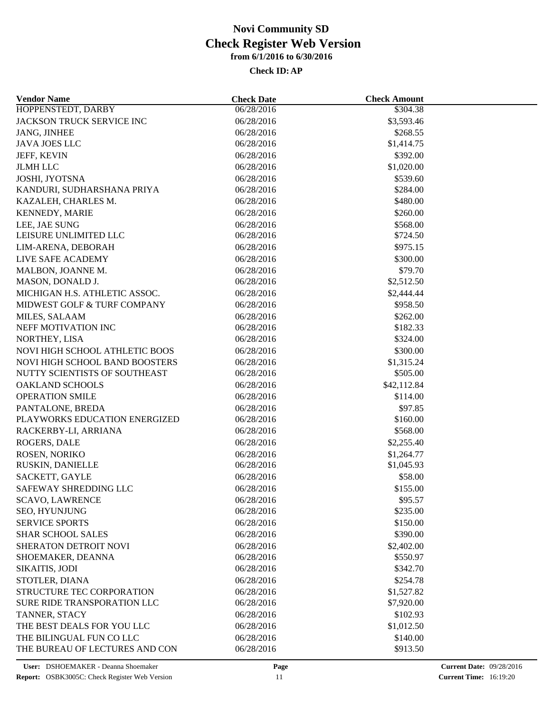| <b>Vendor Name</b>             | <b>Check Date</b> | <b>Check Amount</b> |  |
|--------------------------------|-------------------|---------------------|--|
| HOPPENSTEDT, DARBY             | 06/28/2016        | \$304.38            |  |
| JACKSON TRUCK SERVICE INC      | 06/28/2016        | \$3,593.46          |  |
| JANG, JINHEE                   | 06/28/2016        | \$268.55            |  |
| <b>JAVA JOES LLC</b>           | 06/28/2016        | \$1,414.75          |  |
| JEFF, KEVIN                    | 06/28/2016        | \$392.00            |  |
| <b>JLMH LLC</b>                | 06/28/2016        | \$1,020.00          |  |
| JOSHI, JYOTSNA                 | 06/28/2016        | \$539.60            |  |
| KANDURI, SUDHARSHANA PRIYA     | 06/28/2016        | \$284.00            |  |
| KAZALEH, CHARLES M.            | 06/28/2016        | \$480.00            |  |
| <b>KENNEDY, MARIE</b>          | 06/28/2016        | \$260.00            |  |
| LEE, JAE SUNG                  | 06/28/2016        | \$568.00            |  |
| LEISURE UNLIMITED LLC          | 06/28/2016        | \$724.50            |  |
| LIM-ARENA, DEBORAH             | 06/28/2016        | \$975.15            |  |
| LIVE SAFE ACADEMY              | 06/28/2016        | \$300.00            |  |
| MALBON, JOANNE M.              | 06/28/2016        | \$79.70             |  |
| MASON, DONALD J.               | 06/28/2016        | \$2,512.50          |  |
| MICHIGAN H.S. ATHLETIC ASSOC.  |                   |                     |  |
|                                | 06/28/2016        | \$2,444.44          |  |
| MIDWEST GOLF & TURF COMPANY    | 06/28/2016        | \$958.50            |  |
| MILES, SALAAM                  | 06/28/2016        | \$262.00            |  |
| NEFF MOTIVATION INC            | 06/28/2016        | \$182.33            |  |
| NORTHEY, LISA                  | 06/28/2016        | \$324.00            |  |
| NOVI HIGH SCHOOL ATHLETIC BOOS | 06/28/2016        | \$300.00            |  |
| NOVI HIGH SCHOOL BAND BOOSTERS | 06/28/2016        | \$1,315.24          |  |
| NUTTY SCIENTISTS OF SOUTHEAST  | 06/28/2016        | \$505.00            |  |
| <b>OAKLAND SCHOOLS</b>         | 06/28/2016        | \$42,112.84         |  |
| <b>OPERATION SMILE</b>         | 06/28/2016        | \$114.00            |  |
| PANTALONE, BREDA               | 06/28/2016        | \$97.85             |  |
| PLAYWORKS EDUCATION ENERGIZED  | 06/28/2016        | \$160.00            |  |
| RACKERBY-LI, ARRIANA           | 06/28/2016        | \$568.00            |  |
| ROGERS, DALE                   | 06/28/2016        | \$2,255.40          |  |
| ROSEN, NORIKO                  | 06/28/2016        | \$1,264.77          |  |
| RUSKIN, DANIELLE               | 06/28/2016        | \$1,045.93          |  |
| SACKETT, GAYLE                 | 06/28/2016        | \$58.00             |  |
| SAFEWAY SHREDDING LLC          | 06/28/2016        | \$155.00            |  |
| <b>SCAVO, LAWRENCE</b>         | 06/28/2016        | \$95.57             |  |
| SEO, HYUNJUNG                  | 06/28/2016        | \$235.00            |  |
| <b>SERVICE SPORTS</b>          | 06/28/2016        | \$150.00            |  |
| <b>SHAR SCHOOL SALES</b>       | 06/28/2016        | \$390.00            |  |
| SHERATON DETROIT NOVI          | 06/28/2016        | \$2,402.00          |  |
| SHOEMAKER, DEANNA              | 06/28/2016        | \$550.97            |  |
| SIKAITIS, JODI                 | 06/28/2016        | \$342.70            |  |
| STOTLER, DIANA                 | 06/28/2016        | \$254.78            |  |
| STRUCTURE TEC CORPORATION      | 06/28/2016        | \$1,527.82          |  |
| SURE RIDE TRANSPORATION LLC    | 06/28/2016        | \$7,920.00          |  |
| TANNER, STACY                  | 06/28/2016        | \$102.93            |  |
| THE BEST DEALS FOR YOU LLC     | 06/28/2016        | \$1,012.50          |  |
| THE BILINGUAL FUN CO LLC       | 06/28/2016        | \$140.00            |  |
| THE BUREAU OF LECTURES AND CON | 06/28/2016        | \$913.50            |  |
|                                |                   |                     |  |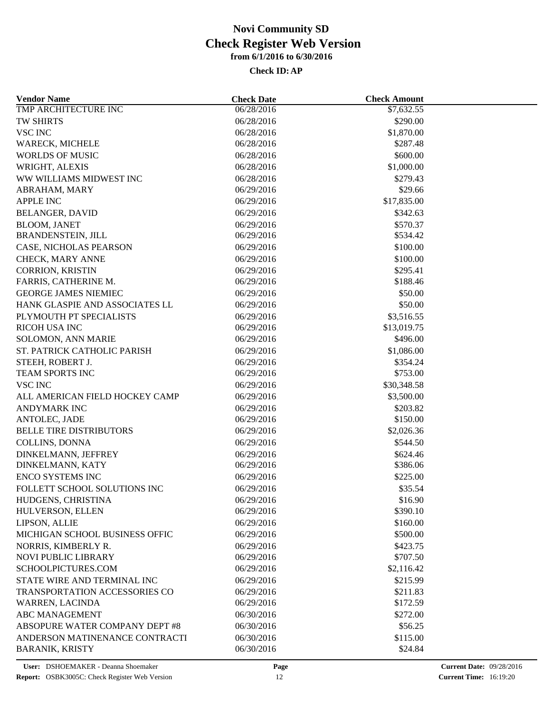| <b>Vendor Name</b>             | <b>Check Date</b> | <b>Check Amount</b> |  |
|--------------------------------|-------------------|---------------------|--|
| TMP ARCHITECTURE INC           | 06/28/2016        | \$7,632.55          |  |
| TW SHIRTS                      | 06/28/2016        | \$290.00            |  |
| <b>VSC INC</b>                 | 06/28/2016        | \$1,870.00          |  |
| WARECK, MICHELE                | 06/28/2016        | \$287.48            |  |
| <b>WORLDS OF MUSIC</b>         | 06/28/2016        | \$600.00            |  |
| WRIGHT, ALEXIS                 | 06/28/2016        | \$1,000.00          |  |
| WW WILLIAMS MIDWEST INC        | 06/28/2016        | \$279.43            |  |
| ABRAHAM, MARY                  | 06/29/2016        | \$29.66             |  |
| <b>APPLE INC</b>               | 06/29/2016        | \$17,835.00         |  |
| <b>BELANGER, DAVID</b>         | 06/29/2016        | \$342.63            |  |
| <b>BLOOM, JANET</b>            | 06/29/2016        | \$570.37            |  |
| BRANDENSTEIN, JILL             | 06/29/2016        | \$534.42            |  |
| CASE, NICHOLAS PEARSON         | 06/29/2016        | \$100.00            |  |
| CHECK, MARY ANNE               | 06/29/2016        | \$100.00            |  |
| CORRION, KRISTIN               | 06/29/2016        | \$295.41            |  |
| FARRIS, CATHERINE M.           | 06/29/2016        | \$188.46            |  |
| <b>GEORGE JAMES NIEMIEC</b>    | 06/29/2016        | \$50.00             |  |
| HANK GLASPIE AND ASSOCIATES LL | 06/29/2016        | \$50.00             |  |
| PLYMOUTH PT SPECIALISTS        | 06/29/2016        | \$3,516.55          |  |
| RICOH USA INC                  | 06/29/2016        | \$13,019.75         |  |
| SOLOMON, ANN MARIE             | 06/29/2016        | \$496.00            |  |
| ST. PATRICK CATHOLIC PARISH    | 06/29/2016        | \$1,086.00          |  |
| STEEH, ROBERT J.               | 06/29/2016        | \$354.24            |  |
| TEAM SPORTS INC                | 06/29/2016        | \$753.00            |  |
| <b>VSC INC</b>                 | 06/29/2016        | \$30,348.58         |  |
|                                |                   |                     |  |
| ALL AMERICAN FIELD HOCKEY CAMP | 06/29/2016        | \$3,500.00          |  |
| <b>ANDYMARK INC</b>            | 06/29/2016        | \$203.82            |  |
| ANTOLEC, JADE                  | 06/29/2016        | \$150.00            |  |
| <b>BELLE TIRE DISTRIBUTORS</b> | 06/29/2016        | \$2,026.36          |  |
| COLLINS, DONNA                 | 06/29/2016        | \$544.50            |  |
| DINKELMANN, JEFFREY            | 06/29/2016        | \$624.46            |  |
| DINKELMANN, KATY               | 06/29/2016        | \$386.06            |  |
| ENCO SYSTEMS INC               | 06/29/2016        | \$225.00            |  |
| FOLLETT SCHOOL SOLUTIONS INC   | 06/29/2016        | \$35.54             |  |
| HUDGENS, CHRISTINA             | 06/29/2016        | \$16.90             |  |
| HULVERSON, ELLEN               | 06/29/2016        | \$390.10            |  |
| LIPSON, ALLIE                  | 06/29/2016        | \$160.00            |  |
| MICHIGAN SCHOOL BUSINESS OFFIC | 06/29/2016        | \$500.00            |  |
| NORRIS, KIMBERLY R.            | 06/29/2016        | \$423.75            |  |
| NOVI PUBLIC LIBRARY            | 06/29/2016        | \$707.50            |  |
| SCHOOLPICTURES.COM             | 06/29/2016        | \$2,116.42          |  |
| STATE WIRE AND TERMINAL INC    | 06/29/2016        | \$215.99            |  |
| TRANSPORTATION ACCESSORIES CO  | 06/29/2016        | \$211.83            |  |
| WARREN, LACINDA                | 06/29/2016        | \$172.59            |  |
| <b>ABC MANAGEMENT</b>          | 06/30/2016        | \$272.00            |  |
| ABSOPURE WATER COMPANY DEPT #8 | 06/30/2016        | \$56.25             |  |
| ANDERSON MATINENANCE CONTRACTI | 06/30/2016        | \$115.00            |  |
| <b>BARANIK, KRISTY</b>         | 06/30/2016        | \$24.84             |  |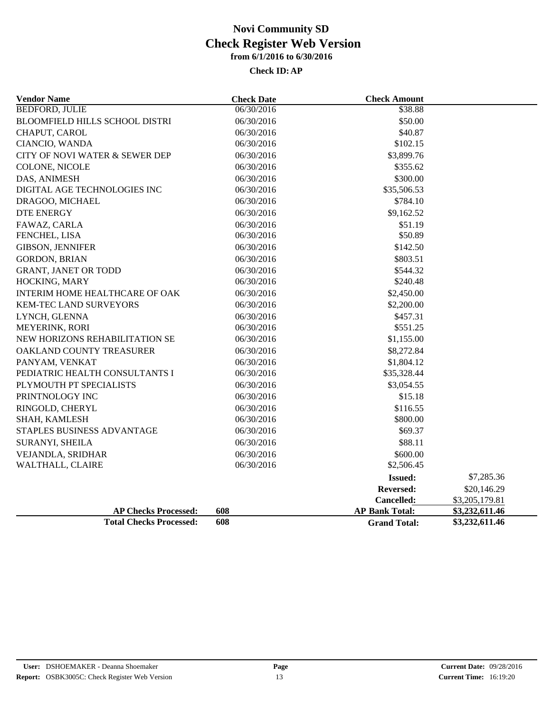| <b>Vendor Name</b>                    | <b>Check Date</b> | <b>Check Amount</b>   |                |
|---------------------------------------|-------------------|-----------------------|----------------|
| <b>BEDFORD, JULIE</b>                 | 06/30/2016        | \$38.88               |                |
| <b>BLOOMFIELD HILLS SCHOOL DISTRI</b> | 06/30/2016        | \$50.00               |                |
| CHAPUT, CAROL                         | 06/30/2016        | \$40.87               |                |
| CIANCIO, WANDA                        | 06/30/2016        | \$102.15              |                |
| CITY OF NOVI WATER & SEWER DEP        | 06/30/2016        | \$3,899.76            |                |
| COLONE, NICOLE                        | 06/30/2016        | \$355.62              |                |
| DAS, ANIMESH                          | 06/30/2016        | \$300.00              |                |
| DIGITAL AGE TECHNOLOGIES INC          | 06/30/2016        | \$35,506.53           |                |
| DRAGOO, MICHAEL                       | 06/30/2016        | \$784.10              |                |
| <b>DTE ENERGY</b>                     | 06/30/2016        | \$9,162.52            |                |
| FAWAZ, CARLA                          | 06/30/2016        | \$51.19               |                |
| FENCHEL, LISA                         | 06/30/2016        | \$50.89               |                |
| <b>GIBSON, JENNIFER</b>               | 06/30/2016        | \$142.50              |                |
| <b>GORDON, BRIAN</b>                  | 06/30/2016        | \$803.51              |                |
| <b>GRANT, JANET OR TODD</b>           | 06/30/2016        | \$544.32              |                |
| HOCKING, MARY                         | 06/30/2016        | \$240.48              |                |
| INTERIM HOME HEALTHCARE OF OAK        | 06/30/2016        | \$2,450.00            |                |
| <b>KEM-TEC LAND SURVEYORS</b>         | 06/30/2016        | \$2,200.00            |                |
| LYNCH, GLENNA                         | 06/30/2016        | \$457.31              |                |
| MEYERINK, RORI                        | 06/30/2016        | \$551.25              |                |
| NEW HORIZONS REHABILITATION SE        | 06/30/2016        | \$1,155.00            |                |
| OAKLAND COUNTY TREASURER              | 06/30/2016        | \$8,272.84            |                |
| PANYAM, VENKAT                        | 06/30/2016        | \$1,804.12            |                |
| PEDIATRIC HEALTH CONSULTANTS I        | 06/30/2016        | \$35,328.44           |                |
| PLYMOUTH PT SPECIALISTS               | 06/30/2016        | \$3,054.55            |                |
| PRINTNOLOGY INC                       | 06/30/2016        | \$15.18               |                |
| RINGOLD, CHERYL                       | 06/30/2016        | \$116.55              |                |
| SHAH, KAMLESH                         | 06/30/2016        | \$800.00              |                |
| STAPLES BUSINESS ADVANTAGE            | 06/30/2016        | \$69.37               |                |
| SURANYI, SHEILA                       | 06/30/2016        | \$88.11               |                |
| VEJANDLA, SRIDHAR                     | 06/30/2016        | \$600.00              |                |
| WALTHALL, CLAIRE                      | 06/30/2016        | \$2,506.45            |                |
|                                       |                   | <b>Issued:</b>        | \$7,285.36     |
|                                       |                   | <b>Reversed:</b>      | \$20,146.29    |
|                                       |                   | Cancelled:            | \$3,205,179.81 |
| <b>AP Checks Processed:</b><br>608    |                   | <b>AP Bank Total:</b> | \$3,232,611.46 |
| <b>Total Checks Processed:</b><br>608 |                   | <b>Grand Total:</b>   | \$3,232,611.46 |